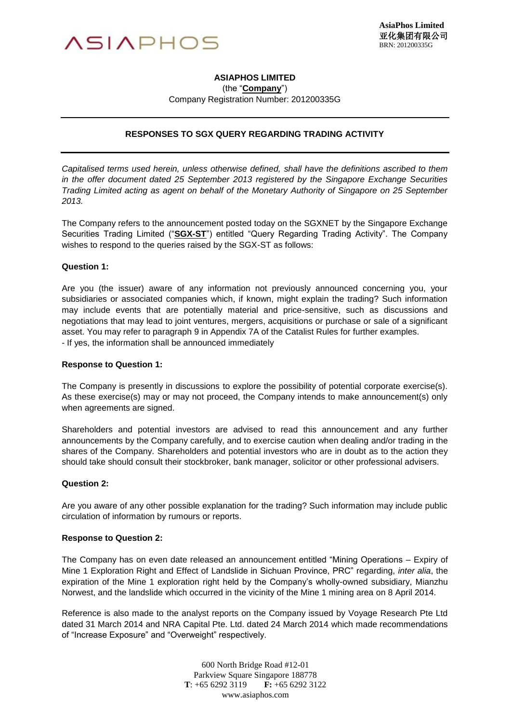

# **ASIAPHOS LIMITED**

(the "**Company**")

Company Registration Number: 201200335G

## **RESPONSES TO SGX QUERY REGARDING TRADING ACTIVITY**

*Capitalised terms used herein, unless otherwise defined, shall have the definitions ascribed to them in the offer document dated 25 September 2013 registered by the Singapore Exchange Securities Trading Limited acting as agent on behalf of the Monetary Authority of Singapore on 25 September 2013.*

The Company refers to the announcement posted today on the SGXNET by the Singapore Exchange Securities Trading Limited ("**SGX-ST**") entitled "Query Regarding Trading Activity". The Company wishes to respond to the queries raised by the SGX-ST as follows:

### **Question 1:**

Are you (the issuer) aware of any information not previously announced concerning you, your subsidiaries or associated companies which, if known, might explain the trading? Such information may include events that are potentially material and price-sensitive, such as discussions and negotiations that may lead to joint ventures, mergers, acquisitions or purchase or sale of a significant asset. You may refer to paragraph 9 in Appendix 7A of the Catalist Rules for further examples. - If yes, the information shall be announced immediately

#### **Response to Question 1:**

The Company is presently in discussions to explore the possibility of potential corporate exercise(s). As these exercise(s) may or may not proceed, the Company intends to make announcement(s) only when agreements are signed.

Shareholders and potential investors are advised to read this announcement and any further announcements by the Company carefully, and to exercise caution when dealing and/or trading in the shares of the Company. Shareholders and potential investors who are in doubt as to the action they should take should consult their stockbroker, bank manager, solicitor or other professional advisers.

#### **Question 2:**

Are you aware of any other possible explanation for the trading? Such information may include public circulation of information by rumours or reports.

#### **Response to Question 2:**

The Company has on even date released an announcement entitled "Mining Operations – Expiry of Mine 1 Exploration Right and Effect of Landslide in Sichuan Province, PRC" regarding, *inter alia*, the expiration of the Mine 1 exploration right held by the Company's wholly-owned subsidiary, Mianzhu Norwest, and the landslide which occurred in the vicinity of the Mine 1 mining area on 8 April 2014.

Reference is also made to the analyst reports on the Company issued by Voyage Research Pte Ltd dated 31 March 2014 and NRA Capital Pte. Ltd. dated 24 March 2014 which made recommendations of "Increase Exposure" and "Overweight" respectively.

> 600 North Bridge Road #12-01 Parkview Square Singapore 188778 **T**: +65 6292 3119 **F:** +65 6292 3122 www.asiaphos.com